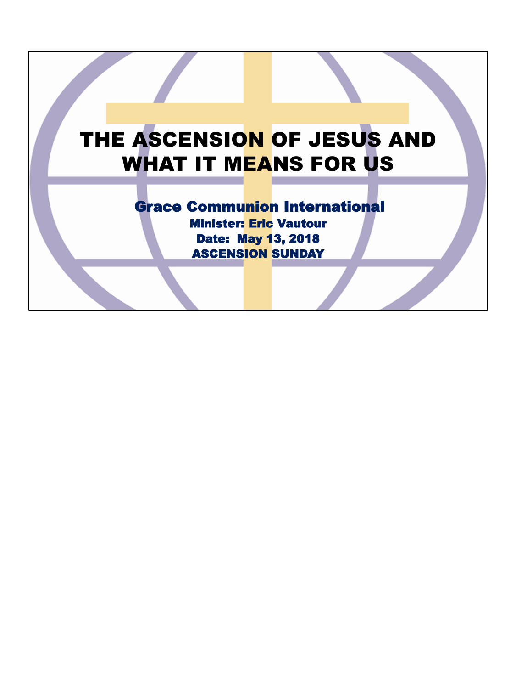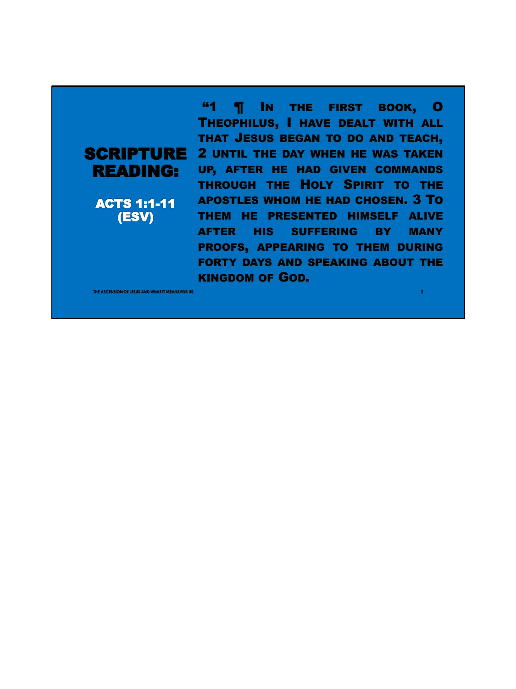READING:

ACTS 1:1-11 (ESV)

**SCRIPTURE** 2 UNTIL THE DAY WHEN HE WAS TAKEN **"1 | IN THE FIRST BOOK, O** THEOPHILUS, I HAVE DEALT WITH ALL THAT JESUS BEGAN TO DO AND TEACH, UP, AFTER HE HAD GIVEN COMMANDS THROUGH THE HOLY SPIRIT TO THE APOSTLES WHOM HE HAD CHOSEN. 3 TO THEM HE PRESENTED HIMSELF ALIVE AFTER HIS SUFFERING BY MANY PROOFS, APPEARING TO THEM DURING FORTY DAYS AND SPEAKING ABOUT THE KINGDOM OF GOD.

**THE ASSESS AND WHAT IT MEANS FOR US AND ASSESS AND ASSESS** AND ASSESS AND ASSESS AND A LINE OF A LINE OF A LINE OF A LINE OF A LINE OF A LINE OF A LINE OF A LINE OF A LINE OF A LINE OF A LINE OF A LINE OF A LINE OF A LINE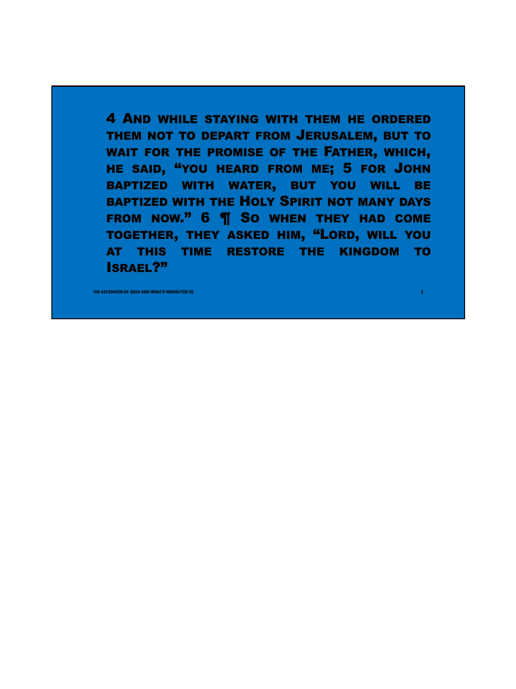4 AND WHILE STAYING WITH THEM HE ORDERED THEM NOT TO DEPART FROM JERUSALEM, BUT TO WAIT FOR THE PROMISE OF THE FATHER, WHICH, HE SAID, "YOU HEARD FROM ME; 5 FOR JOHN BAPTIZED WITH WATER, BUT YOU WILL BE BAPTIZED WITH THE HOLY SPIRIT NOT MANY DAYS FROM NOW." 6 **T** So when They had come TOGETHER, THEY ASKED HIM, "LORD, WILL YOU AT THIS TIME RESTORE THE KINGDOM TO ISRAEL?"

**THE ASCENSION OF JESUS AND WHAT IT MEANS FOR US 3**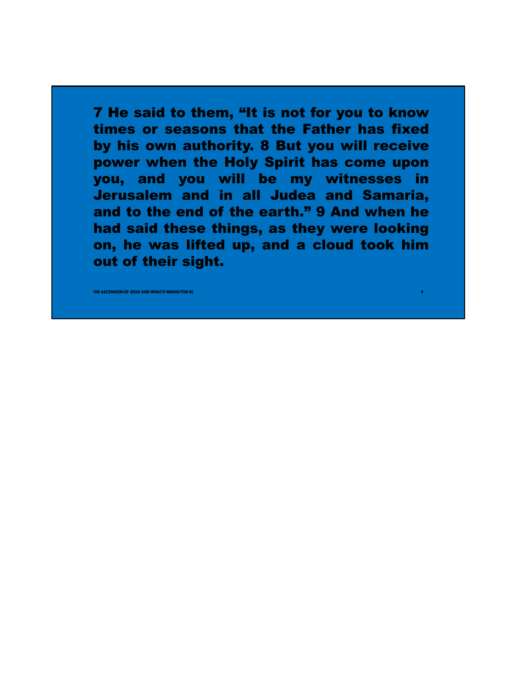7 He said to them, "It is not for you to know times or seasons that the Father has fixed by his own authority. 8 But you will receive power when the Holy Spirit has come upon you, and you will be my witnesses in Jerusalem and in all Judea and Samaria, and to the end of the earth." 9 And when he had said these things, as they were looking on, he was lifted up, and a cloud took him out of their sight.

**THE ASSEMSION OF JESUS AND WHAT IT MEANS FOR US**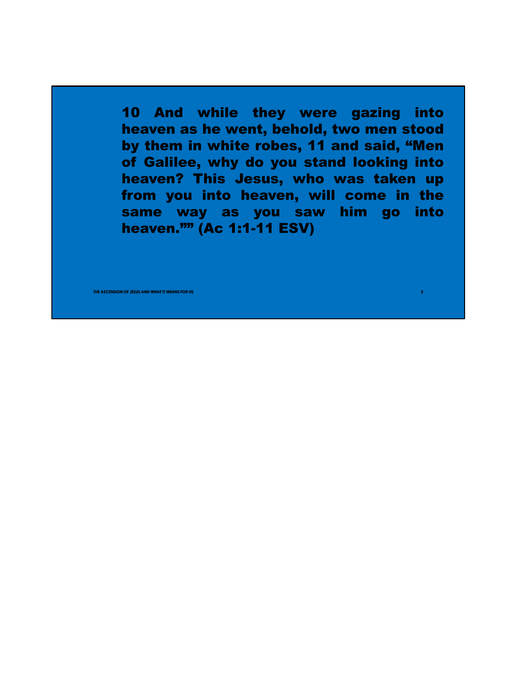10 And while they were gazing into heaven as he went, behold, two men stood by them in white robes, 11 and said, "Men of Galilee, why do you stand looking into heaven? This Jesus, who was taken up from you into heaven, will come in the same way as you saw him go into heaven."" (Ac 1:1-11 ESV)

**ASCENSION OF JESUS AND WHAT IT MEANS FOR US**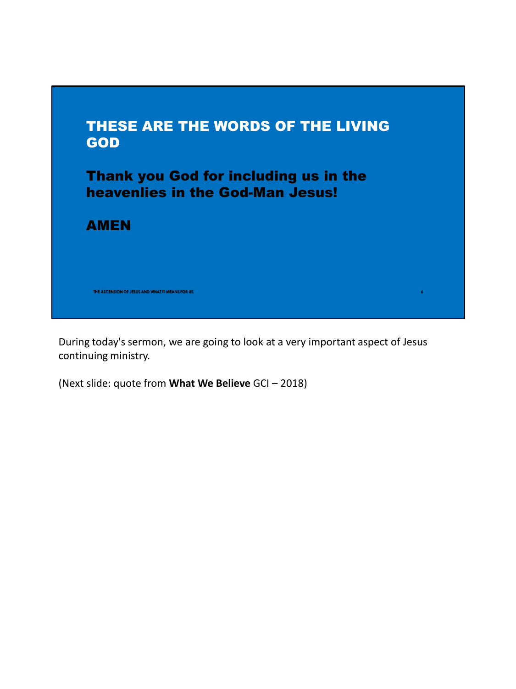

During today's sermon, we are going to look at a very important aspect of Jesus continuing ministry.

(Next slide: quote from **What We Believe** GCI – 2018)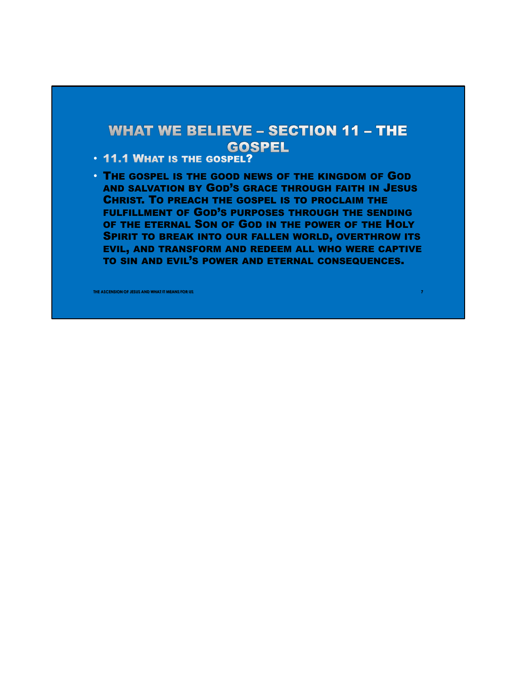## **WHAT WE BELIEVE - SECTION 11 - THE GOSPEL**

- 11.1 WHAT IS THE GOSPEL?
- THE GOSPEL IS THE GOOD NEWS OF THE KINGDOM OF GOD AND SALVATION BY GOD'S GRACE THROUGH FAITH IN JESUS CHRIST. TO PREACH THE GOSPEL IS TO PROCLAIM THE FULFILLMENT OF GOD'S PURPOSES THROUGH THE SENDING OF THE ETERNAL SON OF GOD IN THE POWER OF THE HOLY SPIRIT TO BREAK INTO OUR FALLEN WORLD, OVERTHROW ITS EVIL, AND TRANSFORM AND REDEEM ALL WHO WERE CAPTIVE TO SIN AND EVIL'S POWER AND ETERNAL CONSEQUENCES.

**THE ASCENSION OF JESUS AND WHAT IT MEANS FOR US** *THE ASSESSMENT OF A SECOND CONTINUES. THE ASSESSMENT OF A SECOND CONTINUES. T*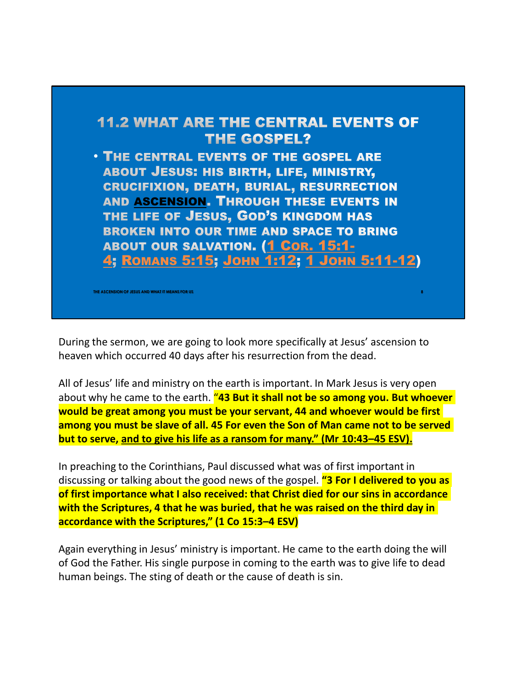

During the sermon, we are going to look more specifically at Jesus' ascension to heaven which occurred 40 days after his resurrection from the dead.

All of Jesus' life and ministry on the earth is important. In Mark Jesus is very open about why he came to the earth. "**43 But it shall not be so among you. But whoever would be great among you must be your servant, 44 and whoever would be first among you must be slave of all. 45 For even the Son of Man came not to be served but to serve, and to give his life as a ransom for many." (Mr 10:43–45 ESV).**

In preaching to the Corinthians, Paul discussed what was of first important in discussing or talking about the good news of the gospel. **"3 For I delivered to you as of first importance what I also received: that Christ died for our sins in accordance with the Scriptures, 4 that he was buried, that he was raised on the third day in accordance with the Scriptures," (1 Co 15:3–4 ESV)**

Again everything in Jesus' ministry is important. He came to the earth doing the will of God the Father. His single purpose in coming to the earth was to give life to dead human beings. The sting of death or the cause of death is sin.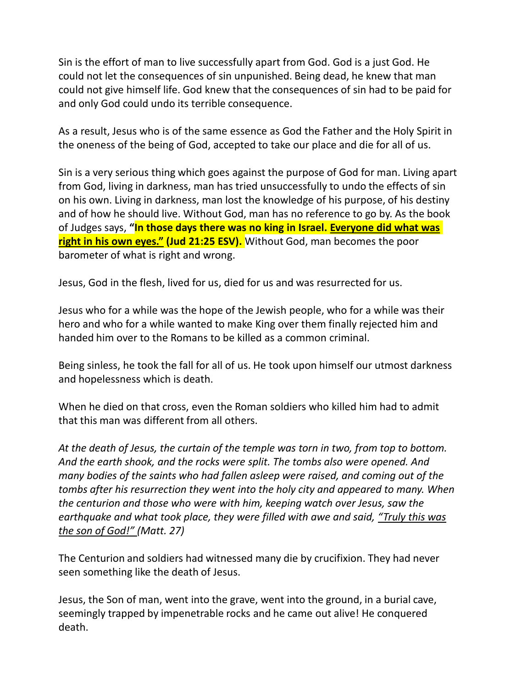Sin is the effort of man to live successfully apart from God. God is a just God. He could not let the consequences of sin unpunished. Being dead, he knew that man could not give himself life. God knew that the consequences of sin had to be paid for and only God could undo its terrible consequence.

As a result, Jesus who is of the same essence as God the Father and the Holy Spirit in the oneness of the being of God, accepted to take our place and die for all of us.

Sin is a very serious thing which goes against the purpose of God for man. Living apart from God, living in darkness, man has tried unsuccessfully to undo the effects of sin on his own. Living in darkness, man lost the knowledge of his purpose, of his destiny and of how he should live. Without God, man has no reference to go by. As the book of Judges says, **"In those days there was no king in Israel. Everyone did what was right in his own eyes." (Jud 21:25 ESV).** Without God, man becomes the poor barometer of what is right and wrong.

Jesus, God in the flesh, lived for us, died for us and was resurrected for us.

Jesus who for a while was the hope of the Jewish people, who for a while was their hero and who for a while wanted to make King over them finally rejected him and handed him over to the Romans to be killed as a common criminal.

Being sinless, he took the fall for all of us. He took upon himself our utmost darkness and hopelessness which is death.

When he died on that cross, even the Roman soldiers who killed him had to admit that this man was different from all others.

*At the death of Jesus, the curtain of the temple was torn in two, from top to bottom. And the earth shook, and the rocks were split. The tombs also were opened. And many bodies of the saints who had fallen asleep were raised, and coming out of the tombs after his resurrection they went into the holy city and appeared to many. When the centurion and those who were with him, keeping watch over Jesus, saw the earthquake and what took place, they were filled with awe and said, "Truly this was the son of God!" (Matt. 27)*

The Centurion and soldiers had witnessed many die by crucifixion. They had never seen something like the death of Jesus.

Jesus, the Son of man, went into the grave, went into the ground, in a burial cave, seemingly trapped by impenetrable rocks and he came out alive! He conquered death.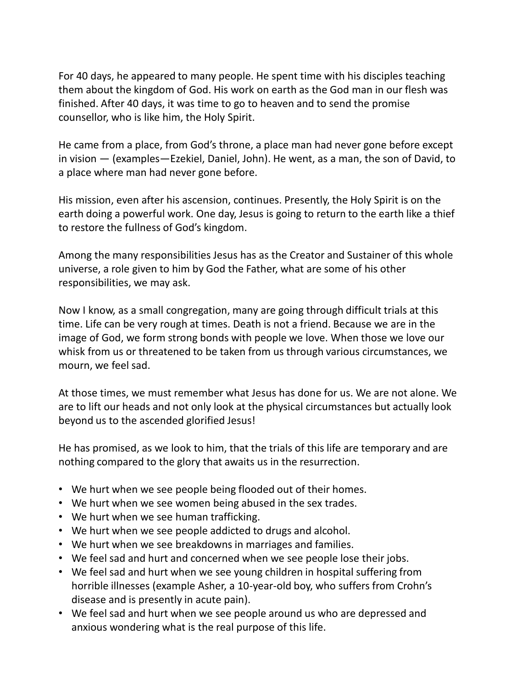For 40 days, he appeared to many people. He spent time with his disciples teaching them about the kingdom of God. His work on earth as the God man in our flesh was finished. After 40 days, it was time to go to heaven and to send the promise counsellor, who is like him, the Holy Spirit.

He came from a place, from God's throne, a place man had never gone before except in vision — (examples—Ezekiel, Daniel, John). He went, as a man, the son of David, to a place where man had never gone before.

His mission, even after his ascension, continues. Presently, the Holy Spirit is on the earth doing a powerful work. One day, Jesus is going to return to the earth like a thief to restore the fullness of God's kingdom.

Among the many responsibilities Jesus has as the Creator and Sustainer of this whole universe, a role given to him by God the Father, what are some of his other responsibilities, we may ask.

Now I know, as a small congregation, many are going through difficult trials at this time. Life can be very rough at times. Death is not a friend. Because we are in the image of God, we form strong bonds with people we love. When those we love our whisk from us or threatened to be taken from us through various circumstances, we mourn, we feel sad.

At those times, we must remember what Jesus has done for us. We are not alone. We are to lift our heads and not only look at the physical circumstances but actually look beyond us to the ascended glorified Jesus!

He has promised, as we look to him, that the trials of this life are temporary and are nothing compared to the glory that awaits us in the resurrection.

- We hurt when we see people being flooded out of their homes.
- We hurt when we see women being abused in the sex trades.
- We hurt when we see human trafficking.
- We hurt when we see people addicted to drugs and alcohol.
- We hurt when we see breakdowns in marriages and families.
- We feel sad and hurt and concerned when we see people lose their jobs.
- We feel sad and hurt when we see young children in hospital suffering from horrible illnesses (example Asher, a 10-year-old boy, who suffers from Crohn's disease and is presently in acute pain).
- We feel sad and hurt when we see people around us who are depressed and anxious wondering what is the real purpose of this life.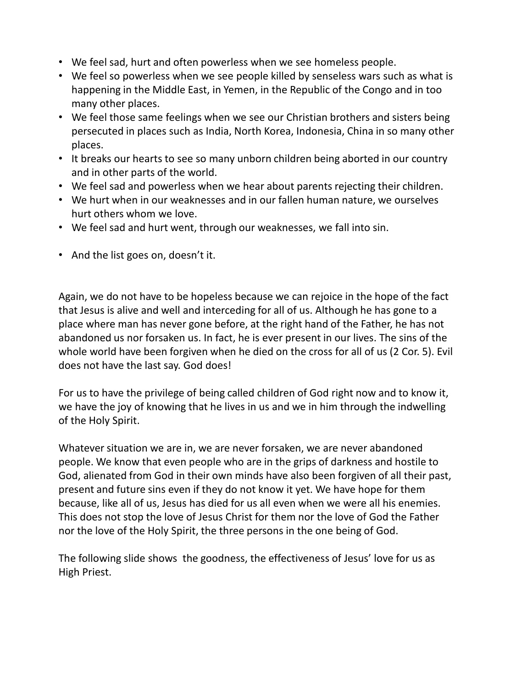- We feel sad, hurt and often powerless when we see homeless people.
- We feel so powerless when we see people killed by senseless wars such as what is happening in the Middle East, in Yemen, in the Republic of the Congo and in too many other places.
- We feel those same feelings when we see our Christian brothers and sisters being persecuted in places such as India, North Korea, Indonesia, China in so many other places.
- It breaks our hearts to see so many unborn children being aborted in our country and in other parts of the world.
- We feel sad and powerless when we hear about parents rejecting their children.
- We hurt when in our weaknesses and in our fallen human nature, we ourselves hurt others whom we love.
- We feel sad and hurt went, through our weaknesses, we fall into sin.
- And the list goes on, doesn't it.

Again, we do not have to be hopeless because we can rejoice in the hope of the fact that Jesus is alive and well and interceding for all of us. Although he has gone to a place where man has never gone before, at the right hand of the Father, he has not abandoned us nor forsaken us. In fact, he is ever present in our lives. The sins of the whole world have been forgiven when he died on the cross for all of us (2 Cor. 5). Evil does not have the last say. God does!

For us to have the privilege of being called children of God right now and to know it, we have the joy of knowing that he lives in us and we in him through the indwelling of the Holy Spirit.

Whatever situation we are in, we are never forsaken, we are never abandoned people. We know that even people who are in the grips of darkness and hostile to God, alienated from God in their own minds have also been forgiven of all their past, present and future sins even if they do not know it yet. We have hope for them because, like all of us, Jesus has died for us all even when we were all his enemies. This does not stop the love of Jesus Christ for them nor the love of God the Father nor the love of the Holy Spirit, the three persons in the one being of God.

The following slide shows the goodness, the effectiveness of Jesus' love for us as High Priest.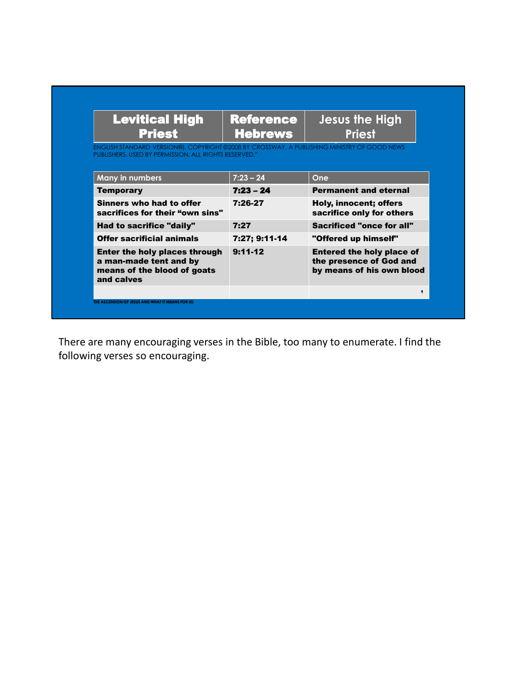| <b>Levitical High</b><br><b>Priest</b>                                                                                                               | <b>Reference</b><br><b>Hebrews</b> | <b>Jesus the High</b><br><b>Priest</b>                                                   |
|------------------------------------------------------------------------------------------------------------------------------------------------------|------------------------------------|------------------------------------------------------------------------------------------|
| ENGLISH STANDARD VERSION®), COPYRIGHT ©2008 BY CROSSWAY, A PUBLISHING MINISTRY OF GOOD NEWS<br>PUBLISHERS, USED BY PERMISSION, ALL RIGHTS RESERVED." |                                    |                                                                                          |
| <b>Many in numbers</b>                                                                                                                               | $7:23 - 24$                        | One                                                                                      |
| <b>Temporary</b>                                                                                                                                     | $7:23 - 24$                        | <b>Permanent and eternal</b>                                                             |
| Sinners who had to offer<br>sacrifices for their "own sins"                                                                                          | 7:26-27                            | Holy, innocent; offers<br>sacrifice only for others                                      |
| Had to sacrifice "daily"                                                                                                                             | 7:27                               | Sacrificed "once for all"                                                                |
| <b>Offer sacrificial animals</b>                                                                                                                     | 7:27; 9:11-14                      | "Offered up himself"                                                                     |
| <b>Enter the holy places through</b><br>a man-made tent and by<br>means of the blood of goats<br>and calves                                          | $9:11-12$                          | <b>Entered the holy place of</b><br>the presence of God and<br>by means of his own blood |
|                                                                                                                                                      |                                    | $\bullet$                                                                                |

There are many encouraging verses in the Bible, too many to enumerate. I find the following verses so encouraging.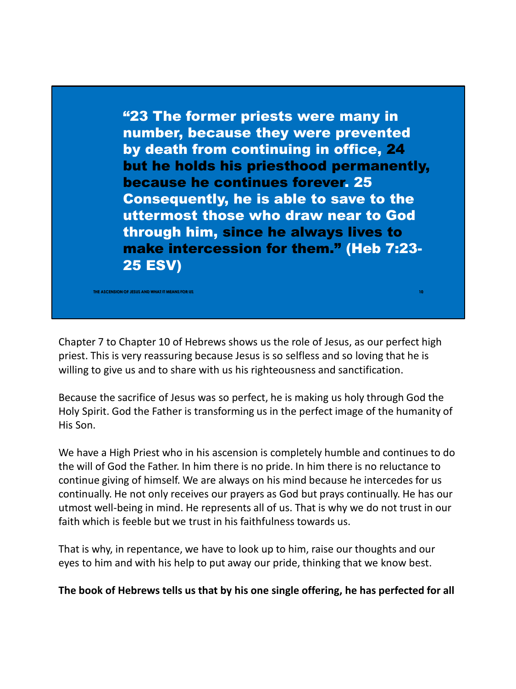"23 The former priests were many in number, because they were prevented by death from continuing in office, 24 but he holds his priesthood permanently, because he continues forever. 25 Consequently, he is able to save to the uttermost those who draw near to God through him, since he always lives to make intercession for them." (Heb 7:23- 25 ESV)

Chapter 7 to Chapter 10 of Hebrews shows us the role of Jesus, as our perfect high priest. This is very reassuring because Jesus is so selfless and so loving that he is willing to give us and to share with us his righteousness and sanctification.

**THE ASSESSION OF JESUS AND WHAT IT MEANS FOR US** 

Because the sacrifice of Jesus was so perfect, he is making us holy through God the Holy Spirit. God the Father is transforming us in the perfect image of the humanity of His Son.

We have a High Priest who in his ascension is completely humble and continues to do the will of God the Father. In him there is no pride. In him there is no reluctance to continue giving of himself. We are always on his mind because he intercedes for us continually. He not only receives our prayers as God but prays continually. He has our utmost well-being in mind. He represents all of us. That is why we do not trust in our faith which is feeble but we trust in his faithfulness towards us.

That is why, in repentance, we have to look up to him, raise our thoughts and our eyes to him and with his help to put away our pride, thinking that we know best.

**The book of Hebrews tells us that by his one single offering, he has perfected for all**